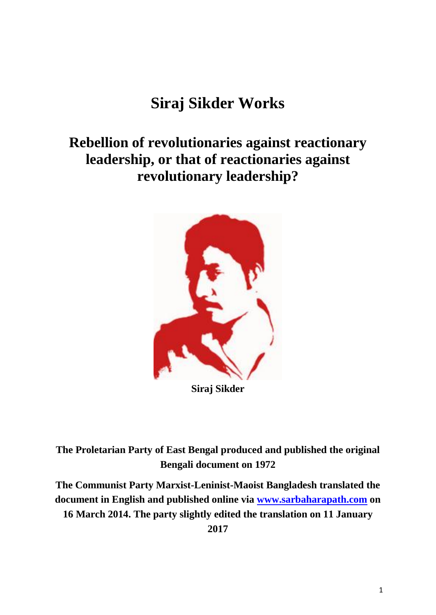# **Siraj Sikder Works**

## **Rebellion of revolutionaries against reactionary leadership, or that of reactionaries against revolutionary leadership?**



**Siraj Sikder**

**The Proletarian Party of East Bengal produced and published the original Bengali document on 1972**

**The Communist Party Marxist-Leninist-Maoist Bangladesh translated the document in English and published online via [www.sarbaharapath.com](http://www.sarbaharapath.com/) on 16 March 2014. The party slightly edited the translation on 11 January** 

**2017**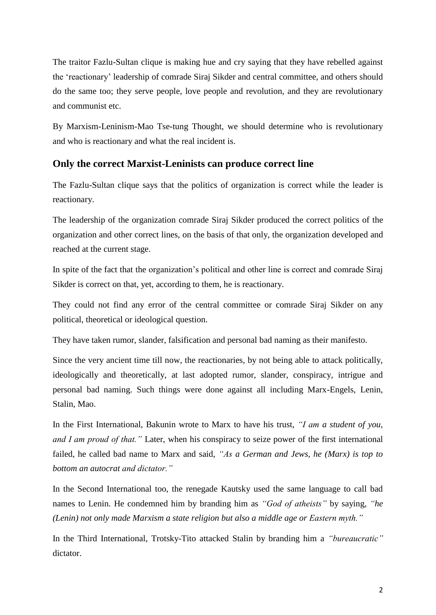The traitor Fazlu-Sultan clique is making hue and cry saying that they have rebelled against the 'reactionary' leadership of comrade Siraj Sikder and central committee, and others should do the same too; they serve people, love people and revolution, and they are revolutionary and communist etc.

By Marxism-Leninism-Mao Tse-tung Thought, we should determine who is revolutionary and who is reactionary and what the real incident is.

#### **Only the correct Marxist-Leninists can produce correct line**

The Fazlu-Sultan clique says that the politics of organization is correct while the leader is reactionary.

The leadership of the organization comrade Siraj Sikder produced the correct politics of the organization and other correct lines, on the basis of that only, the organization developed and reached at the current stage.

In spite of the fact that the organization's political and other line is correct and comrade Siraj Sikder is correct on that, yet, according to them, he is reactionary.

They could not find any error of the central committee or comrade Siraj Sikder on any political, theoretical or ideological question.

They have taken rumor, slander, falsification and personal bad naming as their manifesto.

Since the very ancient time till now, the reactionaries, by not being able to attack politically, ideologically and theoretically, at last adopted rumor, slander, conspiracy, intrigue and personal bad naming. Such things were done against all including Marx-Engels, Lenin, Stalin, Mao.

In the First International, Bakunin wrote to Marx to have his trust, *"I am a student of you, and I am proud of that."* Later, when his conspiracy to seize power of the first international failed, he called bad name to Marx and said, *"As a German and Jews, he (Marx) is top to bottom an autocrat and dictator."*

In the Second International too, the renegade Kautsky used the same language to call bad names to Lenin. He condemned him by branding him as *"God of atheists"* by saying, *"he (Lenin) not only made Marxism a state religion but also a middle age or Eastern myth."*

In the Third International, Trotsky-Tito attacked Stalin by branding him a *"bureaucratic"*  dictator.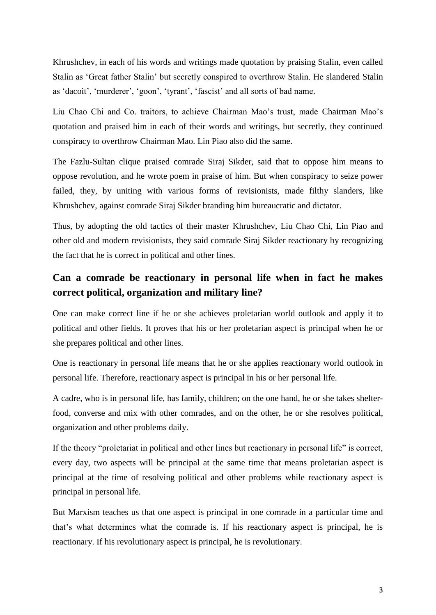Khrushchev, in each of his words and writings made quotation by praising Stalin, even called Stalin as 'Great father Stalin' but secretly conspired to overthrow Stalin. He slandered Stalin as 'dacoit', 'murderer', 'goon', 'tyrant', 'fascist' and all sorts of bad name.

Liu Chao Chi and Co. traitors, to achieve Chairman Mao's trust, made Chairman Mao's quotation and praised him in each of their words and writings, but secretly, they continued conspiracy to overthrow Chairman Mao. Lin Piao also did the same.

The Fazlu-Sultan clique praised comrade Siraj Sikder, said that to oppose him means to oppose revolution, and he wrote poem in praise of him. But when conspiracy to seize power failed, they, by uniting with various forms of revisionists, made filthy slanders, like Khrushchev, against comrade Siraj Sikder branding him bureaucratic and dictator.

Thus, by adopting the old tactics of their master Khrushchev, Liu Chao Chi, Lin Piao and other old and modern revisionists, they said comrade Siraj Sikder reactionary by recognizing the fact that he is correct in political and other lines.

## **Can a comrade be reactionary in personal life when in fact he makes correct political, organization and military line?**

One can make correct line if he or she achieves proletarian world outlook and apply it to political and other fields. It proves that his or her proletarian aspect is principal when he or she prepares political and other lines.

One is reactionary in personal life means that he or she applies reactionary world outlook in personal life. Therefore, reactionary aspect is principal in his or her personal life.

A cadre, who is in personal life, has family, children; on the one hand, he or she takes shelterfood, converse and mix with other comrades, and on the other, he or she resolves political, organization and other problems daily.

If the theory "proletariat in political and other lines but reactionary in personal life" is correct, every day, two aspects will be principal at the same time that means proletarian aspect is principal at the time of resolving political and other problems while reactionary aspect is principal in personal life.

But Marxism teaches us that one aspect is principal in one comrade in a particular time and that's what determines what the comrade is. If his reactionary aspect is principal, he is reactionary. If his revolutionary aspect is principal, he is revolutionary.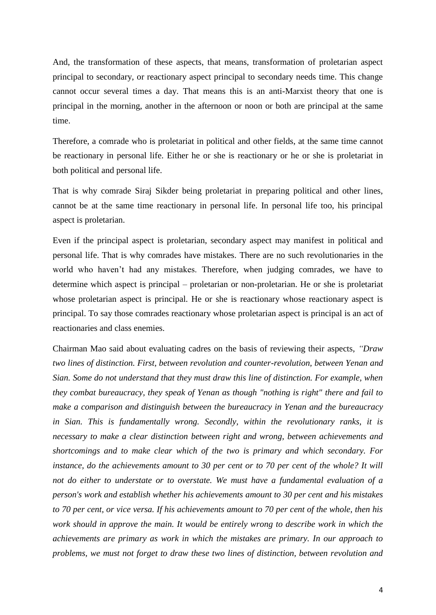And, the transformation of these aspects, that means, transformation of proletarian aspect principal to secondary, or reactionary aspect principal to secondary needs time. This change cannot occur several times a day. That means this is an anti-Marxist theory that one is principal in the morning, another in the afternoon or noon or both are principal at the same time.

Therefore, a comrade who is proletariat in political and other fields, at the same time cannot be reactionary in personal life. Either he or she is reactionary or he or she is proletariat in both political and personal life.

That is why comrade Siraj Sikder being proletariat in preparing political and other lines, cannot be at the same time reactionary in personal life. In personal life too, his principal aspect is proletarian.

Even if the principal aspect is proletarian, secondary aspect may manifest in political and personal life. That is why comrades have mistakes. There are no such revolutionaries in the world who haven't had any mistakes. Therefore, when judging comrades, we have to determine which aspect is principal – proletarian or non-proletarian. He or she is proletariat whose proletarian aspect is principal. He or she is reactionary whose reactionary aspect is principal. To say those comrades reactionary whose proletarian aspect is principal is an act of reactionaries and class enemies.

Chairman Mao said about evaluating cadres on the basis of reviewing their aspects, *"Draw two lines of distinction. First, between revolution and counter-revolution, between Yenan and Sian. Some do not understand that they must draw this line of distinction. For example, when they combat bureaucracy, they speak of Yenan as though "nothing is right" there and fail to make a comparison and distinguish between the bureaucracy in Yenan and the bureaucracy in Sian. This is fundamentally wrong. Secondly, within the revolutionary ranks, it is necessary to make a clear distinction between right and wrong, between achievements and shortcomings and to make clear which of the two is primary and which secondary. For instance, do the achievements amount to 30 per cent or to 70 per cent of the whole? It will not do either to understate or to overstate. We must have a fundamental evaluation of a person's work and establish whether his achievements amount to 30 per cent and his mistakes to 70 per cent, or vice versa. If his achievements amount to 70 per cent of the whole, then his work should in approve the main. It would be entirely wrong to describe work in which the achievements are primary as work in which the mistakes are primary. In our approach to problems, we must not forget to draw these two lines of distinction, between revolution and*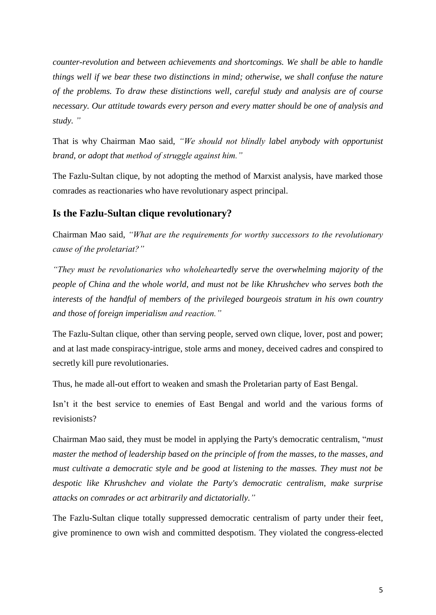*counter-revolution and between achievements and shortcomings. We shall be able to handle things well if we bear these two distinctions in mind; otherwise, we shall confuse the nature of the problems. To draw these distinctions well, careful study and analysis are of course necessary. Our attitude towards every person and every matter should be one of analysis and study. "*

That is why Chairman Mao said, *"We should not blindly label anybody with opportunist brand, or adopt that method of struggle against him."*

The Fazlu-Sultan clique, by not adopting the method of Marxist analysis, have marked those comrades as reactionaries who have revolutionary aspect principal.

#### **Is the Fazlu-Sultan clique revolutionary?**

Chairman Mao said, *"What are the requirements for worthy successors to the revolutionary cause of the proletariat?"*

*"They must be revolutionaries who wholeheartedly serve the overwhelming majority of the people of China and the whole world, and must not be like Khrushchev who serves both the interests of the handful of members of the privileged bourgeois stratum in his own country and those of foreign imperialism and reaction."*

The Fazlu-Sultan clique, other than serving people, served own clique, lover, post and power; and at last made conspiracy-intrigue, stole arms and money, deceived cadres and conspired to secretly kill pure revolutionaries.

Thus, he made all-out effort to weaken and smash the Proletarian party of East Bengal.

Isn't it the best service to enemies of East Bengal and world and the various forms of revisionists?

Chairman Mao said, they must be model in applying the Party's democratic centralism, "*must master the method of leadership based on the principle of from the masses, to the masses, and must cultivate a democratic style and be good at listening to the masses. They must not be despotic like Khrushchev and violate the Party's democratic centralism, make surprise attacks on comrades or act arbitrarily and dictatorially."*

The Fazlu-Sultan clique totally suppressed democratic centralism of party under their feet, give prominence to own wish and committed despotism. They violated the congress-elected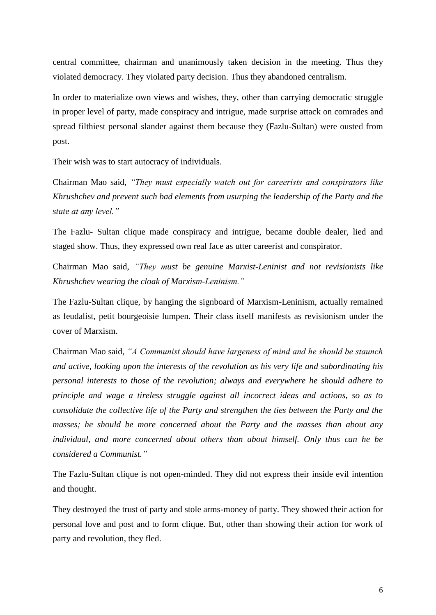central committee, chairman and unanimously taken decision in the meeting. Thus they violated democracy. They violated party decision. Thus they abandoned centralism.

In order to materialize own views and wishes, they, other than carrying democratic struggle in proper level of party, made conspiracy and intrigue, made surprise attack on comrades and spread filthiest personal slander against them because they (Fazlu-Sultan) were ousted from post.

Their wish was to start autocracy of individuals.

Chairman Mao said, *"They must especially watch out for careerists and conspirators like Khrushchev and prevent such bad elements from usurping the leadership of the Party and the state at any level."*

The Fazlu- Sultan clique made conspiracy and intrigue, became double dealer, lied and staged show. Thus, they expressed own real face as utter careerist and conspirator.

Chairman Mao said, *"They must be genuine Marxist-Leninist and not revisionists like Khrushchev wearing the cloak of Marxism-Leninism."*

The Fazlu-Sultan clique, by hanging the signboard of Marxism-Leninism, actually remained as feudalist, petit bourgeoisie lumpen. Their class itself manifests as revisionism under the cover of Marxism.

Chairman Mao said, *"A Communist should have largeness of mind and he should be staunch and active, looking upon the interests of the revolution as his very life and subordinating his personal interests to those of the revolution; always and everywhere he should adhere to principle and wage a tireless struggle against all incorrect ideas and actions, so as to consolidate the collective life of the Party and strengthen the ties between the Party and the masses; he should be more concerned about the Party and the masses than about any individual, and more concerned about others than about himself. Only thus can he be considered a Communist."*

The Fazlu-Sultan clique is not open-minded. They did not express their inside evil intention and thought.

They destroyed the trust of party and stole arms-money of party. They showed their action for personal love and post and to form clique. But, other than showing their action for work of party and revolution, they fled.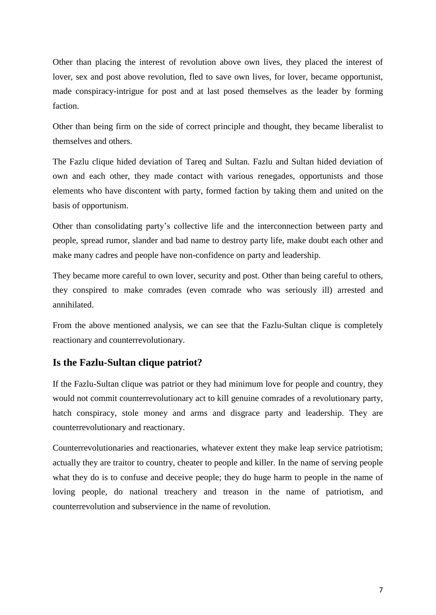Other than placing the interest of revolution above own lives, they placed the interest of lover, sex and post above revolution, fled to save own lives, for lover, became opportunist, made conspiracy-intrigue for post and at last posed themselves as the leader by forming faction.

Other than being firm on the side of correct principle and thought, they became liberalist to themselves and others.

The Fazlu clique hided deviation of Tareq and Sultan. Fazlu and Sultan hided deviation of own and each other, they made contact with various renegades, opportunists and those elements who have discontent with party, formed faction by taking them and united on the basis of opportunism.

Other than consolidating party's collective life and the interconnection between party and people, spread rumor, slander and bad name to destroy party life, make doubt each other and make many cadres and people have non-confidence on party and leadership.

They became more careful to own lover, security and post. Other than being careful to others, they conspired to make comrades (even comrade who was seriously ill) arrested and annihilated.

From the above mentioned analysis, we can see that the Fazlu-Sultan clique is completely reactionary and counterrevolutionary.

#### **Is the Fazlu-Sultan clique patriot?**

If the Fazlu-Sultan clique was patriot or they had minimum love for people and country, they would not commit counterrevolutionary act to kill genuine comrades of a revolutionary party, hatch conspiracy, stole money and arms and disgrace party and leadership. They are counterrevolutionary and reactionary.

Counterrevolutionaries and reactionaries, whatever extent they make leap service patriotism; actually they are traitor to country, cheater to people and killer. In the name of serving people what they do is to confuse and deceive people; they do huge harm to people in the name of loving people, do national treachery and treason in the name of patriotism, and counterrevolution and subservience in the name of revolution.